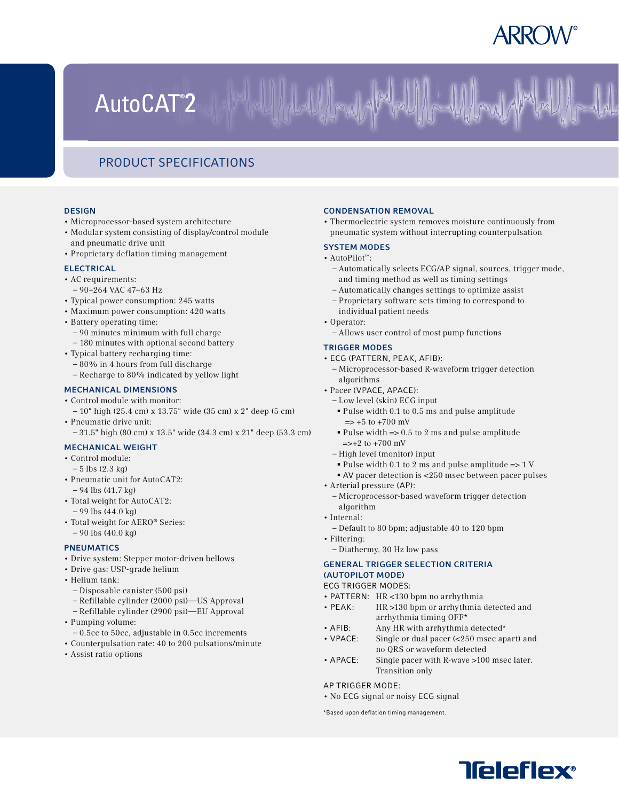# AutoCAT<sup>®</sup>2

## Product Specifications

#### **DESIGN**

- Microprocessor-based system architecture
- Modular system consisting of display/control module and pneumatic drive unit
- Proprietary deflation timing management

#### **ELECTRICAL**

- AC requirements:
- 90–264 VAC 47–63 Hz
- Typical power consumption: 245 watts • Maximum power consumption: 420 watts
- 
- Battery operating time:
	- 90 minutes minimum with full charge
- 180 minutes with optional second battery
- Typical battery recharging time:
	- 80% in 4 hours from full discharge – Recharge to 80% indicated by yellow light

### Mechanical Dimensions

- Control module with monitor: – 10" high (25.4 cm) x 13.75" wide (35 cm) x 2" deep (5 cm) • Pneumatic drive unit:
- 31.5" high (80 cm) x 13.5" wide (34.3 cm) x 21" deep (53.3 cm)

### Mechanical Weight

- Control module:
- $-5$  lbs  $(2.3 \text{ kg})$
- Pneumatic unit for AutoCAT2: – 94 lbs (41.7 kg)
- Total weight for AutoCAT2: – 99 lbs (44.0 kg)
- Total weight for AERO® Series: – 90 lbs (40.0 kg)

### **PNEUMATICS**

- Drive system: Stepper motor-driven bellows
- Drive gas: USP-grade helium
- Helium tank:
	- Disposable canister (500 psi)
	- Refillable cylinder (2000 psi)—US Approval
	- Refillable cylinder (2900 psi)—EU Approval
- Pumping volume:
- 0.5cc to 50cc, adjustable in 0.5cc increments
- Counterpulsation rate: 40 to 200 pulsations/minute
- Assist ratio options

#### Condensation Removal

• Thermoelectric system removes moisture continuously from pneumatic system without interrupting counterpulsation

#### System Modes

- AutoPilot™:
	- Automatically selects ECG/AP signal, sources, trigger mode, and timing method as well as timing settings
	- Automatically changes settings to optimize assist
	- Proprietary software sets timing to correspond to individual patient needs
- Operator:
	- Allows user control of most pump functions

#### Trigger Modes

- ECG (PATTERN, PEAK, AFIB):
	- Microprocessor-based R-waveform trigger detection algorithms
- Pacer (VPACE, APACE):
	- Low level (skin) ECG input
	- § Pulse width 0.1 to 0.5 ms and pulse amplitude  $\Rightarrow$  +5 to +700 mV
	- Pulse width  $\Rightarrow$  0.5 to 2 ms and pulse amplitude  $\Rightarrow$  +2 to +700 mV
	- High level (monitor) input
	- Pulse width 0.1 to 2 ms and pulse amplitude  $\Rightarrow$  1 V
	- § AV pacer detection is <250 msec between pacer pulses
- Arterial pressure (AP):
	- Microprocessor-based waveform trigger detection algorithm
- Internal:
	- Default to 80 bpm; adjustable 40 to 120 bpm
- Filtering:
- Diathermy, 30 Hz low pass

#### General Trigger Selection Criteria (AutoPilot Mode)

ECG TRIGGER MODES:

- PATTERN: HR <130 bpm no arrhythmia
- PEAK: HR >130 bpm or arrhythmia detected and arrhythmia timing OFF\*
- AFIB: Any HR with arrhythmia detected\*
- VPACE: Single or dual pacer (<250 msec apart) and no QRS or waveform detected
- APACE: Single pacer with R-wave >100 msec later. Transition only

#### AP TRIGGER MODE:

• No ECG signal or noisy ECG signal

\*Based upon deflation timing management.